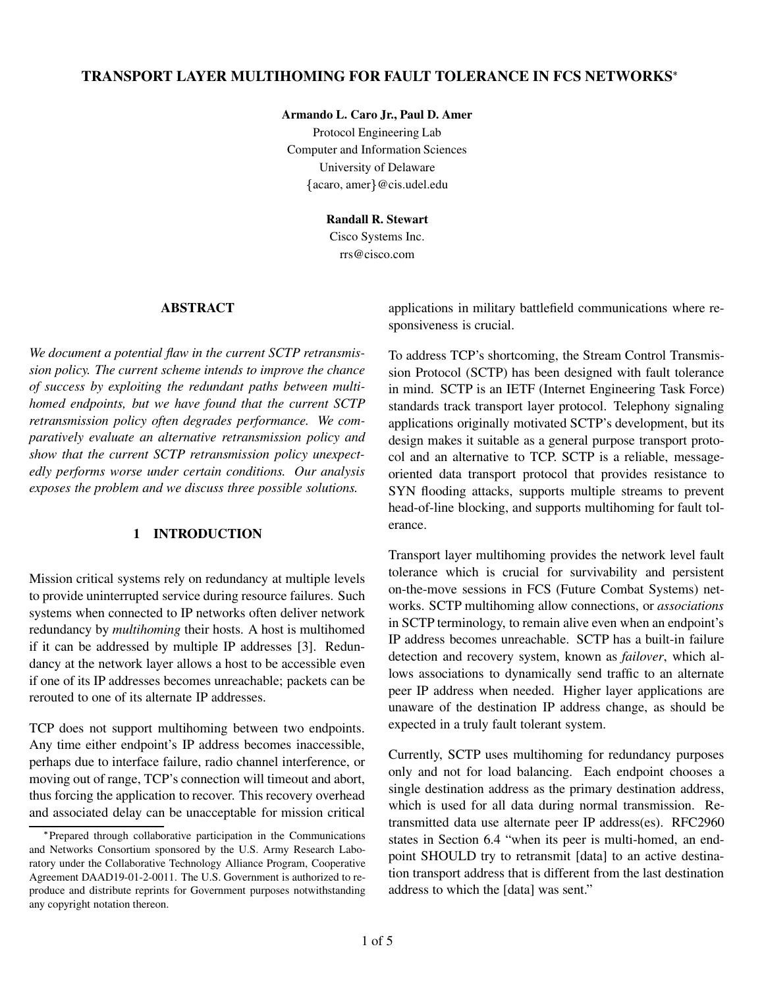# **TRANSPORT LAYER MULTIHOMING FOR FAULT TOLERANCE IN FCS NETWORKS**

#### **Armando L. Caro Jr., Paul D. Amer**

Protocol Engineering Lab Computer and Information Sciences University of Delaware  $\{acaro, amer\} @ c$ is.udel.edu

**Randall R. Stewart**

Cisco Systems Inc. rrs@cisco.com

# **ABSTRACT**

*We document a potential flaw in the current SCTP retransmission policy. The current scheme intends to improve the chance of success by exploiting the redundant paths between multihomed endpoints, but we have found that the current SCTP retransmission policy often degrades performance. We comparatively evaluate an alternative retransmission policy and show that the current SCTP retransmission policy unexpectedly performs worse under certain conditions. Our analysis exposes the problem and we discuss three possible solutions.*

# **1 INTRODUCTION**

Mission critical systems rely on redundancy at multiple levels to provide uninterrupted service during resource failures. Such systems when connected to IP networks often deliver network redundancy by *multihoming* their hosts. A host is multihomed if it can be addressed by multiple IP addresses [3]. Redundancy at the network layer allows a host to be accessible even if one of its IP addresses becomes unreachable; packets can be rerouted to one of its alternate IP addresses.

TCP does not support multihoming between two endpoints. Any time either endpoint's IP address becomes inaccessible, perhaps due to interface failure, radio channel interference, or moving out of range, TCP's connection will timeout and abort, thus forcing the application to recover. This recovery overhead and associated delay can be unacceptable for mission critical applications in military battlefield communications where responsiveness is crucial.

To address TCP's shortcoming, the Stream Control Transmission Protocol (SCTP) has been designed with fault tolerance in mind. SCTP is an IETF (Internet Engineering Task Force) standards track transport layer protocol. Telephony signaling applications originally motivated SCTP's development, but its design makes it suitable as a general purpose transport protocol and an alternative to TCP. SCTP is a reliable, messageoriented data transport protocol that provides resistance to SYN flooding attacks, supports multiple streams to prevent head-of-line blocking, and supports multihoming for fault tolerance.

Transport layer multihoming provides the network level fault tolerance which is crucial for survivability and persistent on-the-move sessions in FCS (Future Combat Systems) networks. SCTP multihoming allow connections, or *associations* in SCTP terminology, to remain alive even when an endpoint's IP address becomes unreachable. SCTP has a built-in failure detection and recovery system, known as *failover*, which allows associations to dynamically send traffic to an alternate peer IP address when needed. Higher layer applications are unaware of the destination IP address change, as should be expected in a truly fault tolerant system.

Currently, SCTP uses multihoming for redundancy purposes only and not for load balancing. Each endpoint chooses a single destination address as the primary destination address, which is used for all data during normal transmission. Retransmitted data use alternate peer IP address(es). RFC2960 states in Section 6.4 "when its peer is multi-homed, an endpoint SHOULD try to retransmit [data] to an active destination transport address that is different from the last destination address to which the [data] was sent."

Prepared through collaborative participation in the Communications and Networks Consortium sponsored by the U.S. Army Research Laboratory under the Collaborative Technology Alliance Program, Cooperative Agreement DAAD19-01-2-0011. The U.S. Government is authorized to reproduce and distribute reprints for Government purposes notwithstanding any copyright notation thereon.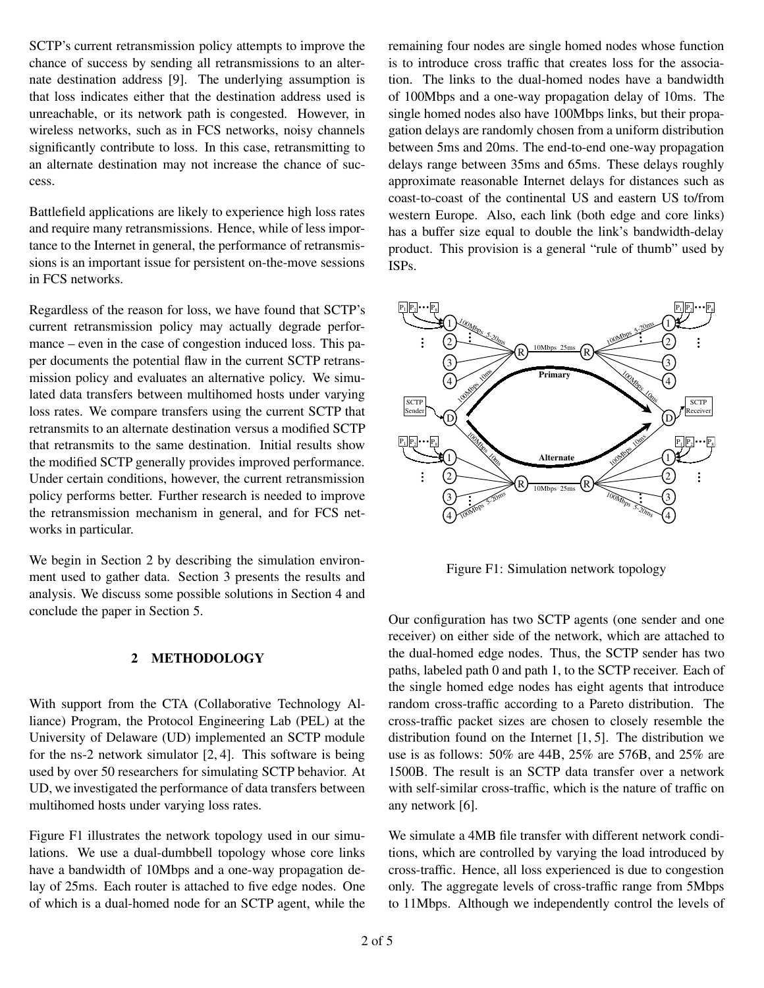SCTP's current retransmission policy attempts to improve the chance of success by sending all retransmissions to an alternate destination address [9]. The underlying assumption is that loss indicates either that the destination address used is unreachable, or its network path is congested. However, in wireless networks, such as in FCS networks, noisy channels significantly contribute to loss. In this case, retransmitting to an alternate destination may not increase the chance of success.

Battlefield applications are likely to experience high loss rates and require many retransmissions. Hence, while of less importance to the Internet in general, the performance of retransmissions is an important issue for persistent on-the-move sessions in FCS networks.

Regardless of the reason for loss, we have found that SCTP's current retransmission policy may actually degrade performance – even in the case of congestion induced loss. This paper documents the potential flaw in the current SCTP retransmission policy and evaluates an alternative policy. We simulated data transfers between multihomed hosts under varying loss rates. We compare transfers using the current SCTP that retransmits to an alternate destination versus a modified SCTP that retransmits to the same destination. Initial results show the modified SCTP generally provides improved performance. Under certain conditions, however, the current retransmission policy performs better. Further research is needed to improve the retransmission mechanism in general, and for FCS networks in particular.

We begin in Section 2 by describing the simulation environment used to gather data. Section 3 presents the results and analysis. We discuss some possible solutions in Section 4 and conclude the paper in Section 5.

## **2 METHODOLOGY**

With support from the CTA (Collaborative Technology Alliance) Program, the Protocol Engineering Lab (PEL) at the University of Delaware (UD) implemented an SCTP module for the ns-2 network simulator [2, 4]. This software is being used by over 50 researchers for simulating SCTP behavior. At UD, we investigated the performance of data transfers between multihomed hosts under varying loss rates.

Figure F1 illustrates the network topology used in our simulations. We use a dual-dumbbell topology whose core links have a bandwidth of 10Mbps and a one-way propagation delay of 25ms. Each router is attached to five edge nodes. One of which is a dual-homed node for an SCTP agent, while the remaining four nodes are single homed nodes whose function is to introduce cross traffic that creates loss for the association. The links to the dual-homed nodes have a bandwidth of 100Mbps and a one-way propagation delay of 10ms. The single homed nodes also have 100Mbps links, but their propagation delays are randomly chosen from a uniform distribution between 5ms and 20ms. The end-to-end one-way propagation delays range between 35ms and 65ms. These delays roughly approximate reasonable Internet delays for distances such as coast-to-coast of the continental US and eastern US to/from western Europe. Also, each link (both edge and core links) has a buffer size equal to double the link's bandwidth-delay product. This provision is a general "rule of thumb" used by ISPs.



Figure F1: Simulation network topology

Our configuration has two SCTP agents (one sender and one receiver) on either side of the network, which are attached to the dual-homed edge nodes. Thus, the SCTP sender has two paths, labeled path 0 and path 1, to the SCTP receiver. Each of the single homed edge nodes has eight agents that introduce random cross-traffic according to a Pareto distribution. The cross-traffic packet sizes are chosen to closely resemble the distribution found on the Internet [1, 5]. The distribution we use is as follows: 50% are 44B, 25% are 576B, and 25% are 1500B. The result is an SCTP data transfer over a network with self-similar cross-traffic, which is the nature of traffic on any network [6].

We simulate a 4MB file transfer with different network conditions, which are controlled by varying the load introduced by cross-traffic. Hence, all loss experienced is due to congestion only. The aggregate levels of cross-traffic range from 5Mbps to 11Mbps. Although we independently control the levels of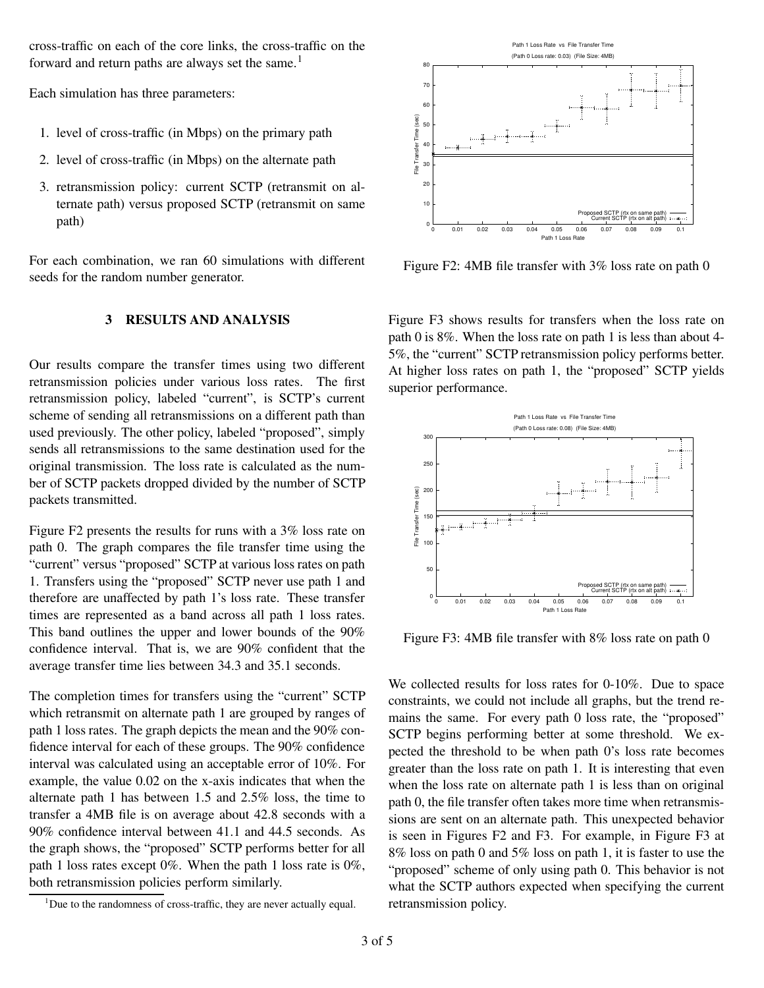cross-traffic on each of the core links, the cross-traffic on the forward and return paths are always set the same.<sup>1</sup>

Each simulation has three parameters:

- 1. level of cross-traffic (in Mbps) on the primary path
- 2. level of cross-traffic (in Mbps) on the alternate path
- 3. retransmission policy: current SCTP (retransmit on alternate path) versus proposed SCTP (retransmit on same path)

For each combination, we ran 60 simulations with different seeds for the random number generator.

## **3 RESULTS AND ANALYSIS**

Our results compare the transfer times using two different retransmission policies under various loss rates. The first retransmission policy, labeled "current", is SCTP's current scheme of sending all retransmissions on a different path than used previously. The other policy, labeled "proposed", simply sends all retransmissions to the same destination used for the original transmission. The loss rate is calculated as the number of SCTP packets dropped divided by the number of SCTP packets transmitted.

Figure F2 presents the results for runs with a 3% loss rate on path 0. The graph compares the file transfer time using the "current" versus "proposed" SCTP at various loss rates on path 1. Transfers using the "proposed" SCTP never use path 1 and therefore are unaffected by path 1's loss rate. These transfer times are represented as a band across all path 1 loss rates. This band outlines the upper and lower bounds of the 90% confidence interval. That is, we are 90% confident that the average transfer time lies between 34.3 and 35.1 seconds.

The completion times for transfers using the "current" SCTP which retransmit on alternate path 1 are grouped by ranges of path 1 loss rates. The graph depicts the mean and the 90% confidence interval for each of these groups. The 90% confidence interval was calculated using an acceptable error of 10%. For example, the value 0.02 on the x-axis indicates that when the alternate path 1 has between 1.5 and 2.5% loss, the time to transfer a 4MB file is on average about 42.8 seconds with a 90% confidence interval between 41.1 and 44.5 seconds. As the graph shows, the "proposed" SCTP performs better for all path 1 loss rates except 0%. When the path 1 loss rate is 0%, both retransmission policies perform similarly.





Figure F2: 4MB file transfer with 3% loss rate on path 0

Figure F3 shows results for transfers when the loss rate on path 0 is 8%. When the loss rate on path 1 is less than about 4- 5%, the "current" SCTP retransmission policy performs better. At higher loss rates on path 1, the "proposed" SCTP yields superior performance.



Figure F3: 4MB file transfer with 8% loss rate on path 0

We collected results for loss rates for 0-10%. Due to space constraints, we could not include all graphs, but the trend remains the same. For every path 0 loss rate, the "proposed" SCTP begins performing better at some threshold. We expected the threshold to be when path 0's loss rate becomes greater than the loss rate on path 1. It is interesting that even when the loss rate on alternate path 1 is less than on original path 0, the file transfer often takes more time when retransmissions are sent on an alternate path. This unexpected behavior is seen in Figures F2 and F3. For example, in Figure F3 at 8% loss on path 0 and 5% loss on path 1, it is faster to use the "proposed" scheme of only using path 0. This behavior is not what the SCTP authors expected when specifying the current retransmission policy.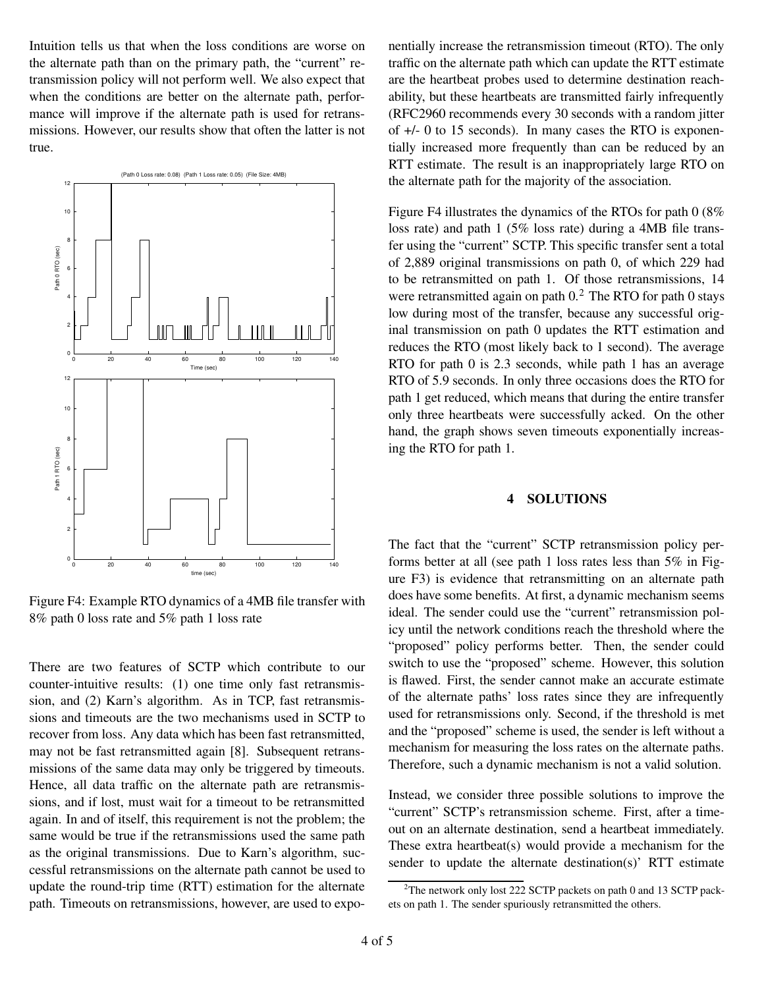Intuition tells us that when the loss conditions are worse on the alternate path than on the primary path, the "current" retransmission policy will not perform well. We also expect that when the conditions are better on the alternate path, performance will improve if the alternate path is used for retransmissions. However, our results show that often the latter is not true.



Figure F4: Example RTO dynamics of a 4MB file transfer with 8% path 0 loss rate and 5% path 1 loss rate

There are two features of SCTP which contribute to our counter-intuitive results: (1) one time only fast retransmission, and (2) Karn's algorithm. As in TCP, fast retransmissions and timeouts are the two mechanisms used in SCTP to recover from loss. Any data which has been fast retransmitted, may not be fast retransmitted again [8]. Subsequent retransmissions of the same data may only be triggered by timeouts. Hence, all data traffic on the alternate path are retransmissions, and if lost, must wait for a timeout to be retransmitted again. In and of itself, this requirement is not the problem; the same would be true if the retransmissions used the same path as the original transmissions. Due to Karn's algorithm, successful retransmissions on the alternate path cannot be used to update the round-trip time (RTT) estimation for the alternate path. Timeouts on retransmissions, however, are used to expo-

nentially increase the retransmission timeout (RTO). The only traffic on the alternate path which can update the RTT estimate are the heartbeat probes used to determine destination reachability, but these heartbeats are transmitted fairly infrequently (RFC2960 recommends every 30 seconds with a random jitter of +/- 0 to 15 seconds). In many cases the RTO is exponentially increased more frequently than can be reduced by an RTT estimate. The result is an inappropriately large RTO on the alternate path for the majority of the association.

Figure F4 illustrates the dynamics of the RTOs for path 0 (8% loss rate) and path 1 (5% loss rate) during a 4MB file transfer using the "current" SCTP. This specific transfer sent a total of 2,889 original transmissions on path 0, of which 229 had to be retransmitted on path 1. Of those retransmissions, 14 were retransmitted again on path  $0<sup>2</sup>$ . The RTO for path 0 stays low during most of the transfer, because any successful original transmission on path 0 updates the RTT estimation and reduces the RTO (most likely back to 1 second). The average RTO for path 0 is 2.3 seconds, while path 1 has an average RTO of 5.9 seconds. In only three occasions does the RTO for path 1 get reduced, which means that during the entire transfer only three heartbeats were successfully acked. On the other hand, the graph shows seven timeouts exponentially increasing the RTO for path 1.

#### **4 SOLUTIONS**

The fact that the "current" SCTP retransmission policy performs better at all (see path 1 loss rates less than 5% in Figure F3) is evidence that retransmitting on an alternate path does have some benefits. At first, a dynamic mechanism seems ideal. The sender could use the "current" retransmission policy until the network conditions reach the threshold where the "proposed" policy performs better. Then, the sender could switch to use the "proposed" scheme. However, this solution is flawed. First, the sender cannot make an accurate estimate of the alternate paths' loss rates since they are infrequently used for retransmissions only. Second, if the threshold is met and the "proposed" scheme is used, the sender is left without a mechanism for measuring the loss rates on the alternate paths. Therefore, such a dynamic mechanism is not a valid solution.

Instead, we consider three possible solutions to improve the "current" SCTP's retransmission scheme. First, after a timeout on an alternate destination, send a heartbeat immediately. These extra heartbeat(s) would provide a mechanism for the sender to update the alternate destination(s)' RTT estimate

 $2$ <sup>2</sup>The network only lost 222 SCTP packets on path 0 and 13 SCTP packets on path 1. The sender spuriously retransmitted the others.